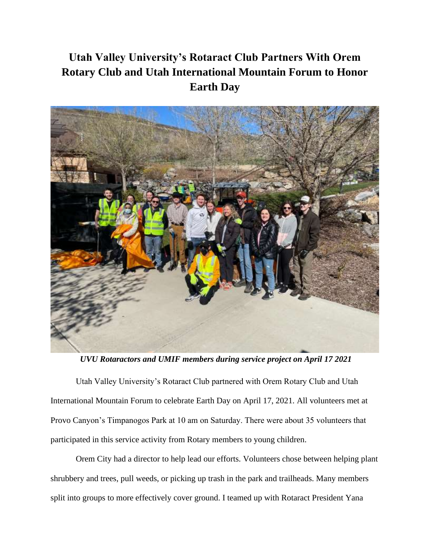## **Utah Valley University's Rotaract Club Partners With Orem Rotary Club and Utah International Mountain Forum to Honor Earth Day**



*UVU Rotaractors and UMIF members during service project on April 17 2021*

Utah Valley University's Rotaract Club partnered with Orem Rotary Club and Utah International Mountain Forum to celebrate Earth Day on April 17, 2021. All volunteers met at Provo Canyon's Timpanogos Park at 10 am on Saturday. There were about 35 volunteers that participated in this service activity from Rotary members to young children.

Orem City had a director to help lead our efforts. Volunteers chose between helping plant shrubbery and trees, pull weeds, or picking up trash in the park and trailheads. Many members split into groups to more effectively cover ground. I teamed up with Rotaract President Yana